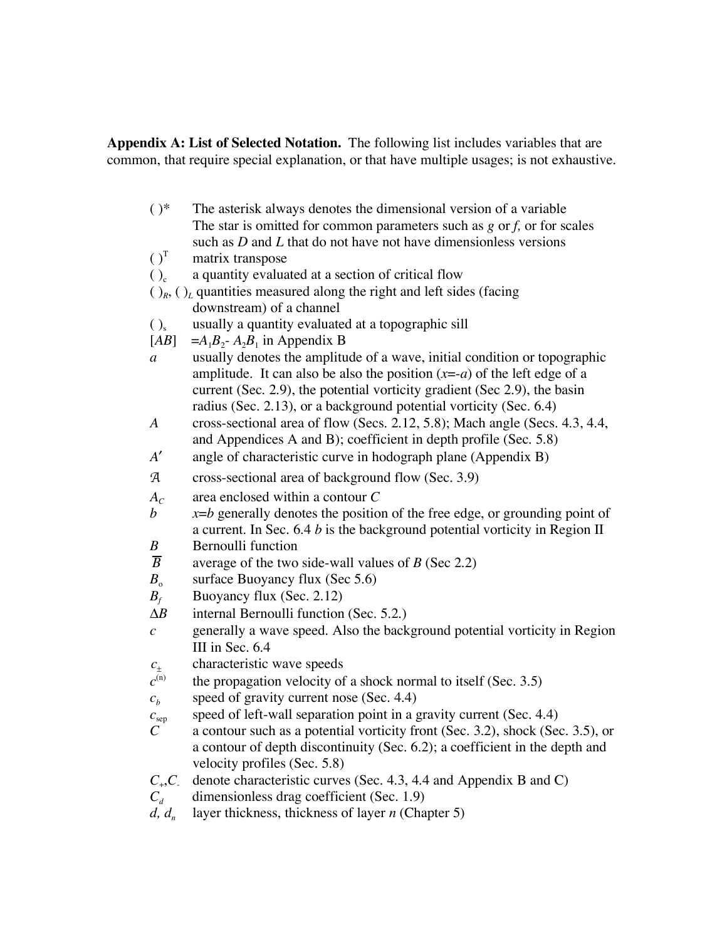**Appendix A: List of Selected Notation.** The following list includes variables that are common, that require special explanation, or that have multiple usages; is not exhaustive.

| $( )^*$                            | The asterisk always denotes the dimensional version of a variable                                    |
|------------------------------------|------------------------------------------------------------------------------------------------------|
|                                    | The star is omitted for common parameters such as $g$ or $f$ , or for scales                         |
|                                    | such as $D$ and $L$ that do not have not have dimensionless versions                                 |
| $()^T$                             | matrix transpose                                                                                     |
| $()_{c}$                           | a quantity evaluated at a section of critical flow                                                   |
|                                    | $\left(\right)_{R}$ , $\left(\right)_{L}$ quantities measured along the right and left sides (facing |
|                                    | downstream) of a channel                                                                             |
| $()_{s}$                           | usually a quantity evaluated at a topographic sill                                                   |
| [AB]                               | $=A_1B_2$ - $A_2B_1$ in Appendix B                                                                   |
| a                                  | usually denotes the amplitude of a wave, initial condition or topographic                            |
|                                    | amplitude. It can also be also the position $(x=-a)$ of the left edge of a                           |
|                                    | current (Sec. 2.9), the potential vorticity gradient (Sec 2.9), the basin                            |
|                                    | radius (Sec. 2.13), or a background potential vorticity (Sec. 6.4)                                   |
| A                                  | cross-sectional area of flow (Secs. 2.12, 5.8); Mach angle (Secs. 4.3, 4.4,                          |
|                                    | and Appendices A and B); coefficient in depth profile (Sec. 5.8)                                     |
| A'                                 | angle of characteristic curve in hodograph plane (Appendix B)                                        |
| ${\mathcal{A}}$                    | cross-sectional area of background flow (Sec. 3.9)                                                   |
| $A_C$                              | area enclosed within a contour C                                                                     |
| $\boldsymbol{b}$                   | $x=b$ generally denotes the position of the free edge, or grounding point of                         |
|                                    | a current. In Sec. 6.4 $b$ is the background potential vorticity in Region II                        |
| $\boldsymbol{B}$                   | <b>Bernoulli</b> function                                                                            |
| $\overline{B}$                     | average of the two side-wall values of $B$ (Sec 2.2)                                                 |
| $B_{\rm o}$                        | surface Buoyancy flux (Sec 5.6)                                                                      |
| $B_f$                              | Buoyancy flux (Sec. 2.12)                                                                            |
| $\Delta B$                         | internal Bernoulli function (Sec. 5.2.)                                                              |
| $\mathcal{C}_{\mathcal{C}}$        | generally a wave speed. Also the background potential vorticity in Region                            |
|                                    | III in Sec. 6.4                                                                                      |
| $\frac{c_{\pm}}{c^{(\mathrm{n})}}$ | characteristic wave speeds                                                                           |
|                                    | the propagation velocity of a shock normal to itself (Sec. 3.5)                                      |
| $c_b$                              | speed of gravity current nose (Sec. 4.4)                                                             |
| $C_{\rm sep}$                      | speed of left-wall separation point in a gravity current (Sec. 4.4)                                  |
| $\mathcal{C}_{0}^{(n)}$            | a contour such as a potential vorticity front (Sec. 3.2), shock (Sec. 3.5), or                       |
|                                    | a contour of depth discontinuity (Sec. 6.2); a coefficient in the depth and                          |
|                                    | velocity profiles (Sec. 5.8)                                                                         |
| $C_{+}$ , $C_{-}$                  | denote characteristic curves (Sec. 4.3, 4.4 and Appendix B and C)                                    |
| $C_d$                              | dimensionless drag coefficient (Sec. 1.9)                                                            |
| $d, d_n$                           | layer thickness, thickness of layer $n$ (Chapter 5)                                                  |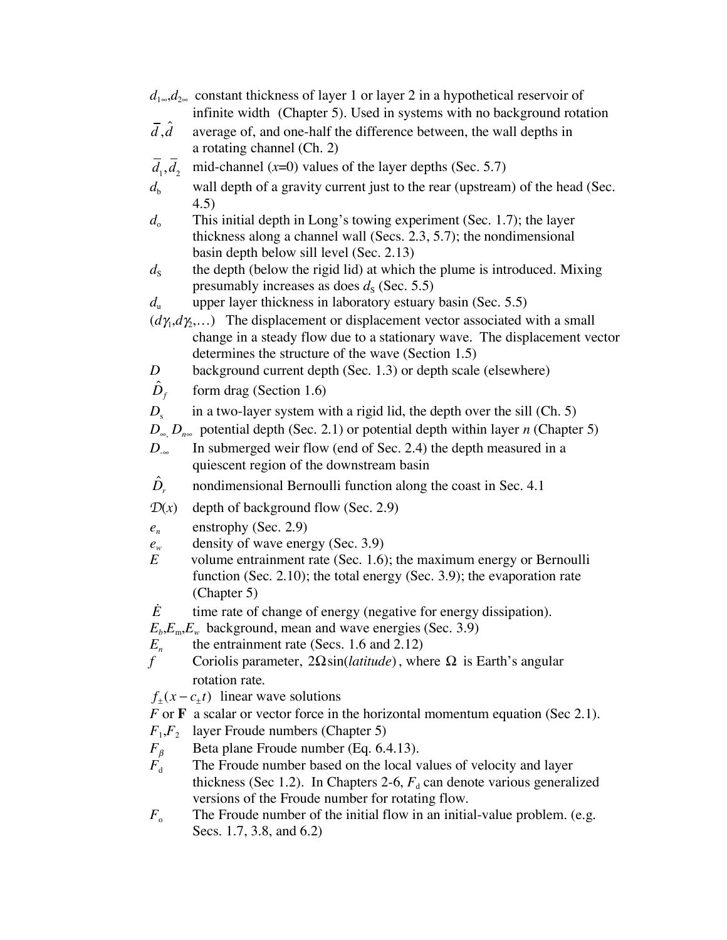|                                          | $d_{1\infty}, d_{2\infty}$ constant thickness of layer 1 or layer 2 in a hypothetical reservoir of                                                                                                                           |
|------------------------------------------|------------------------------------------------------------------------------------------------------------------------------------------------------------------------------------------------------------------------------|
| $\bar{d}, \hat{d}$                       | infinite width (Chapter 5). Used in systems with no background rotation<br>average of, and one-half the difference between, the wall depths in                                                                               |
|                                          | a rotating channel (Ch. 2)                                                                                                                                                                                                   |
| $\overline{d}_1, \overline{d}_2$         | mid-channel $(x=0)$ values of the layer depths (Sec. 5.7)                                                                                                                                                                    |
| $d_{\rm b}$                              | wall depth of a gravity current just to the rear (upstream) of the head (Sec.<br>(4.5)                                                                                                                                       |
| $d_{\circ}$                              | This initial depth in Long's towing experiment (Sec. 1.7); the layer<br>thickness along a channel wall (Secs. $2.3$ , $5.7$ ); the nondimensional<br>basin depth below sill level (Sec. 2.13)                                |
| $d_{\rm S}$                              | the depth (below the rigid lid) at which the plume is introduced. Mixing<br>presumably increases as does $d_s$ (Sec. 5.5)                                                                                                    |
| $d_{\rm n}$                              | upper layer thickness in laboratory estuary basin (Sec. 5.5)                                                                                                                                                                 |
|                                          | $(d\gamma_1, d\gamma_2,)$ The displacement or displacement vector associated with a small<br>change in a steady flow due to a stationary wave. The displacement vector<br>determines the structure of the wave (Section 1.5) |
| $\boldsymbol{D}$                         | background current depth (Sec. 1.3) or depth scale (elsewhere)                                                                                                                                                               |
| $\hat{D}_{\scriptscriptstyle{f}}$        | form drag (Section $1.6$ )                                                                                                                                                                                                   |
| $D_{s}$                                  | in a two-layer system with a rigid lid, the depth over the sill (Ch. 5)<br>$D_{\infty}$ $D_{\eta_{\infty}}$ potential depth (Sec. 2.1) or potential depth within layer <i>n</i> (Chapter 5)                                  |
| $D_{-\infty}$                            | In submerged weir flow (end of Sec. 2.4) the depth measured in a<br>quiescent region of the downstream basin                                                                                                                 |
| $\hat{D}_r$                              | nondimensional Bernoulli function along the coast in Sec. 4.1                                                                                                                                                                |
| $\mathcal{D}(x)$                         | depth of background flow (Sec. 2.9)                                                                                                                                                                                          |
| $e_n$<br>$e_{\scriptscriptstyle w}$<br>E | enstrophy (Sec. 2.9)<br>density of wave energy (Sec. 3.9)<br>volume entrainment rate (Sec. 1.6); the maximum energy or Bernoulli                                                                                             |
|                                          | function (Sec. 2.10); the total energy (Sec. 3.9); the evaporation rate<br>(Chapter 5)                                                                                                                                       |
| Ė                                        | time rate of change of energy (negative for energy dissipation).                                                                                                                                                             |
|                                          | $E_b$ , $E_m$ , $E_w$ background, mean and wave energies (Sec. 3.9)                                                                                                                                                          |
| $E_n$                                    | the entrainment rate (Secs. 1.6 and 2.12)                                                                                                                                                                                    |
| f                                        | Coriolis parameter, $2\Omega \sin(\theta)$ , where $\Omega$ is Earth's angular                                                                                                                                               |
|                                          | rotation rate.                                                                                                                                                                                                               |
|                                          | $f_{\pm}(x-c_{\pm}t)$ linear wave solutions                                                                                                                                                                                  |
|                                          | $F$ or $\bf{F}$ a scalar or vector force in the horizontal momentum equation (Sec 2.1).                                                                                                                                      |

 $F_1, F_2$  layer Froude numbers (Chapter 5)<br> $F_\beta$  Beta plane Froude number (Eq. 6.4)

- $F_{\beta}$  Beta plane Froude number (Eq. 6.4.13).<br> $F_{d}$  The Froude number based on the local v The Froude number based on the local values of velocity and layer thickness (Sec 1.2). In Chapters 2-6,  $F_d$  can denote various generalized versions of the Froude number for rotating flow.
- *F*<sub>o</sub> The Froude number of the initial flow in an initial-value problem. (e.g. Secs. 1.7, 3.8, and 6.2)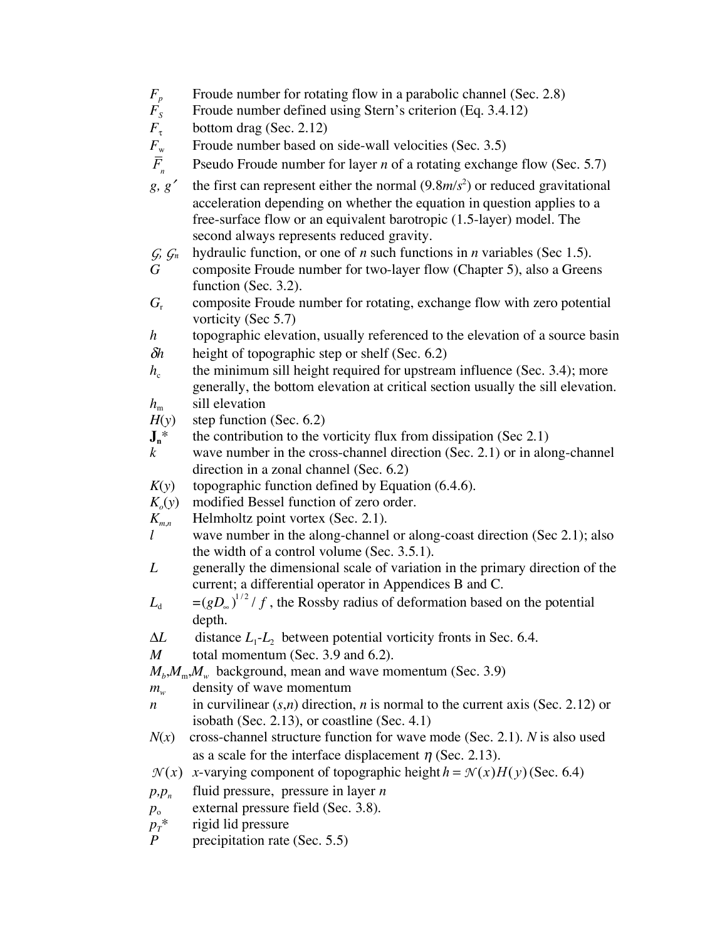- $F_p$  Froude number for rotating flow in a parabolic channel (Sec. 2.8)<br> $F_s$  Froude number defined using Stern's criterion (Eq. 3.4.12)
- $F_s$  Froude number defined using Stern's criterion (Eq. 3.4.12)<br> $F_{\tau}$  bottom drag (Sec. 2.12)

- $F_{\tau}$  bottom drag (Sec. 2.12)<br> $F_{\rm w}$  Froude number based on *Froude number based on side-wall velocities (Sec. 3.5)*
- *F n* Pseudo Froude number for layer *n* of a rotating exchange flow (Sec. 5.7)
- $g, g'$  the first can represent either the normal  $(9.8m/s^2)$  or reduced gravitational acceleration depending on whether the equation in question applies to a free-surface flow or an equivalent barotropic (1.5-layer) model. The second always represents reduced gravity.
- *G*,  $G_n$  hydraulic function, or one of *n* such functions in *n* variables (Sec 1.5).<br>*G* composite Froude number for two-laver flow (Chapter 5), also a Green
- *G* composite Froude number for two-layer flow (Chapter 5), also a Greens function (Sec. 3.2).
- *G*<sup>r</sup> composite Froude number for rotating, exchange flow with zero potential vorticity (Sec 5.7)
- *h* topographic elevation, usually referenced to the elevation of a source basin
- δ*h* height of topographic step or shelf (Sec. 6.2)
- $h_c$  the minimum sill height required for upstream influence (Sec. 3.4); more generally, the bottom elevation at critical section usually the sill elevation.  $h_{\rm m}$  sill elevation
- $H(y)$  step function (Sec. 6.2)
- $J_n^*$  the contribution to the vorticity flux from dissipation (Sec 2.1)
- *k* wave number in the cross-channel direction (Sec. 2.1) or in along-channel direction in a zonal channel (Sec. 6.2)
- $K(y)$  topographic function defined by Equation (6.4.6).
- $K_o(y)$  modified Bessel function of zero order.<br> $K_{m,n}$  Helmholtz point vortex (Sec. 2.1).
- $K_{m,n}$  Helmholtz point vortex (Sec. 2.1).<br>*l* wave number in the along-channel
- wave number in the along-channel or along-coast direction (Sec 2.1); also the width of a control volume (Sec. 3.5.1).
- *L* generally the dimensional scale of variation in the primary direction of the current; a differential operator in Appendices B and C.
- $L_{d} = (gD_{\omega})^{1/2}/f$ , the Rossby radius of deformation based on the potential depth.
- $\Delta L$  distance  $L_1$ - $L_2$  between potential vorticity fronts in Sec. 6.4.
- *M* total momentum (Sec. 3.9 and 6.2).
- $M_h$ , $M_m$ , $M_w$  background, mean and wave momentum (Sec. 3.9)
- *m<sub>w</sub>* density of wave momentum
- *n* in curvilinear  $(s,n)$  direction, *n* is normal to the current axis (Sec. 2.12) or isobath (Sec. 2.13), or coastline (Sec. 4.1)
- *N*(*x*) cross-channel structure function for wave mode (Sec. 2.1). *N* is also used as a scale for the interface displacement  $\eta$  (Sec. 2.13).
- $N(x)$  *x*-varying component of topographic height  $h = N(x)H(y)$  (Sec. 6.4)
- $p, p_n$  fluid pressure, pressure in layer *n*
- *p*<sub>o</sub> external pressure field (Sec. 3.8).
- $p_T^*$ rigid lid pressure
- *P* precipitation rate (Sec. 5.5)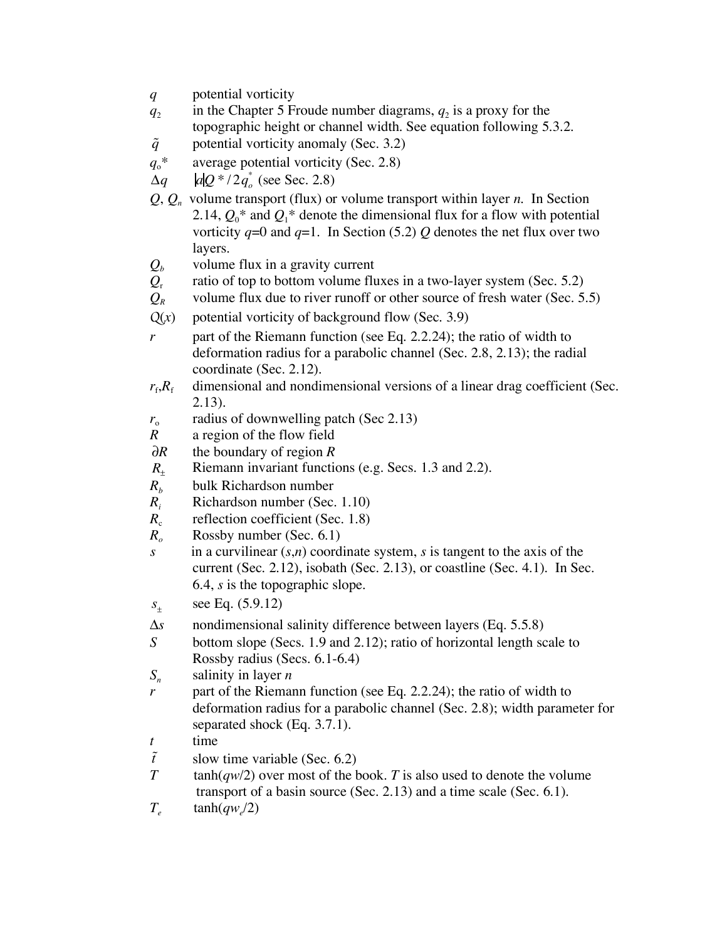- *q* potential vorticity
- $q_2$  in the Chapter 5 Froude number diagrams,  $q_2$  is a proxy for the topographic height or channel width. See equation following 5.3.2.
- $\tilde{q}$ potential vorticity anomaly (Sec. 3.2)
- $q_0^*$  average potential vorticity (Sec. 2.8)

 $\Delta q$  *alQ* \*  $/2q_o^*$  (see Sec. 2.8)

- $Q, Q_n$  volume transport (flux) or volume transport within layer *n*. In Section 2.14,  $Q_0^*$  and  $Q_1^*$  denote the dimensional flux for a flow with potential vorticity  $q=0$  and  $q=1$ . In Section (5.2) Q denotes the net flux over two layers.
- 
- $Q_b$  volume flux in a gravity current<br> $Q_r$  ratio of top to bottom volume flu  $Q_r$  ratio of top to bottom volume fluxes in a two-layer system (Sec. 5.2)<br>
volume flux due to river runoff or other source of fresh water (Sec. 5
- *z* volume flux due to river runoff or other source of fresh water (Sec. 5.5)
- $Q(x)$  potential vorticity of background flow (Sec. 3.9)
- *r* part of the Riemann function (see Eq. 2.2.24); the ratio of width to deformation radius for a parabolic channel (Sec. 2.8, 2.13); the radial coordinate (Sec. 2.12).
- $r_f, R_f$  dimensional and nondimensional versions of a linear drag coefficient (Sec. 2.13).
- $r<sub>o</sub>$  radius of downwelling patch (Sec 2.13)
- *R* a region of the flow field
- $\partial R$ the boundary of region *R*
- $R_{+}$ Riemann invariant functions (e.g. Secs. 1.3 and 2.2).
- $R_b$  bulk Richardson number
- $R_i$  Richardson number (Sec. 1.10)<br> $R_c$  reflection coefficient (Sec. 1.8)
- *reflection coefficient (Sec. 1.8)*
- *R<sub>o</sub>* Rossby number (Sec. 6.1)
- *s* in a curvilinear (*s*,*n*) coordinate system, *s* is tangent to the axis of the current (Sec. 2.12), isobath (Sec. 2.13), or coastline (Sec. 4.1). In Sec. 6.4, *s* is the topographic slope.
- $S_{\pm}$ see Eq. (5.9.12)
- Δ*s* nondimensional salinity difference between layers (Eq. 5.5.8)
- *S* bottom slope (Secs. 1.9 and 2.12); ratio of horizontal length scale to Rossby radius (Secs. 6.1-6.4)
- *Sn* salinity in layer *n*
- *r* part of the Riemann function (see Eq. 2.2.24); the ratio of width to deformation radius for a parabolic channel (Sec. 2.8); width parameter for separated shock (Eq. 3.7.1).
- *t* time
- $\tilde{t}$ slow time variable (Sec. 6.2)
- *T* tanh(*qw*/2) over most of the book. *T* is also used to denote the volume transport of a basin source (Sec. 2.13) and a time scale (Sec. 6.1).
- $T_e$  tanh( $q w_e/2$ )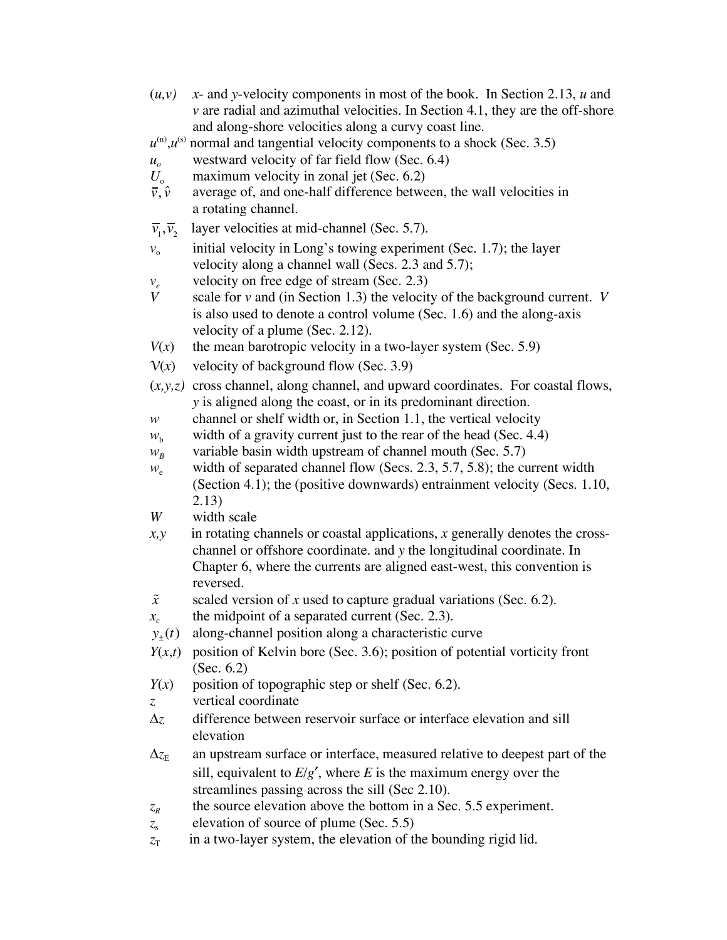- $(u, v)$  *x* and *y*-velocity components in most of the book. In Section 2.13, *u* and *v* are radial and azimuthal velocities. In Section 4.1, they are the off-shore and along-shore velocities along a curvy coast line.
- $u^{(n)}$ *u* $^{(s)}$ normal and tangential velocity components to a shock (Sec. 3.5)
- $u<sub>o</sub>$  westward velocity of far field flow (Sec. 6.4)
- maximum velocity in zonal jet (Sec. 6.2)  $U_{\circ}$ <sub> $\bar{v}, \hat{v}$ </sub>
- average of, and one-half difference between, the wall velocities in a rotating channel.
- $\overline{v}_1, \overline{v}_2$ layer velocities at mid-channel (Sec. 5.7).
- $v<sub>o</sub>$  initial velocity in Long's towing experiment (Sec. 1.7); the layer velocity along a channel wall (Secs. 2.3 and 5.7);
- *v<sub>e</sub>* velocity on free edge of stream (Sec. 2.3)<br>*V* scale for *y* and (in Section 1.3) the velocit
- *V* scale for *v* and (in Section 1.3) the velocity of the background current. *V* is also used to denote a control volume (Sec. 1.6) and the along-axis velocity of a plume (Sec. 2.12).
- $V(x)$  the mean barotropic velocity in a two-layer system (Sec. 5.9)
- $V(x)$  velocity of background flow (Sec. 3.9)
- $(x, y, z)$  cross channel, along channel, and upward coordinates. For coastal flows, *y* is aligned along the coast, or in its predominant direction.
- *w* channel or shelf width or, in Section 1.1, the vertical velocity
- $w<sub>b</sub>$  width of a gravity current just to the rear of the head (Sec. 4.4)
- $w_B$  variable basin width upstream of channel mouth (Sec. 5.7)
- $w_e$  width of separated channel flow (Secs. 2.3, 5.7, 5.8); the current width (Section 4.1); the (positive downwards) entrainment velocity (Secs. 1.10, 2.13)
- *W* width scale
- *x,y* in rotating channels or coastal applications, *x* generally denotes the crosschannel or offshore coordinate. and *y* the longitudinal coordinate. In Chapter 6, where the currents are aligned east-west, this convention is reversed.
- *x* scaled version of *x* used to capture gradual variations (Sec. 6.2).
- $x_c$  the midpoint of a separated current (Sec. 2.3).
- $y_{+}(t)$  along-channel position along a characteristic curve
- $Y(x,t)$  position of Kelvin bore (Sec. 3.6); position of potential vorticity front (Sec. 6.2)
- $Y(x)$  position of topographic step or shelf (Sec. 6.2).
- *z* vertical coordinate
- Δ*z* difference between reservoir surface or interface elevation and sill elevation
- $\Delta z_{\rm E}$  an upstream surface or interface, measured relative to deepest part of the sill, equivalent to  $E/g'$ , where *E* is the maximum energy over the streamlines passing across the sill (Sec 2.10).
- $z_R$  the source elevation above the bottom in a Sec. 5.5 experiment.
- z<sub>s</sub> elevation of source of plume (Sec. 5.5)
- $z_T$  in a two-layer system, the elevation of the bounding rigid lid.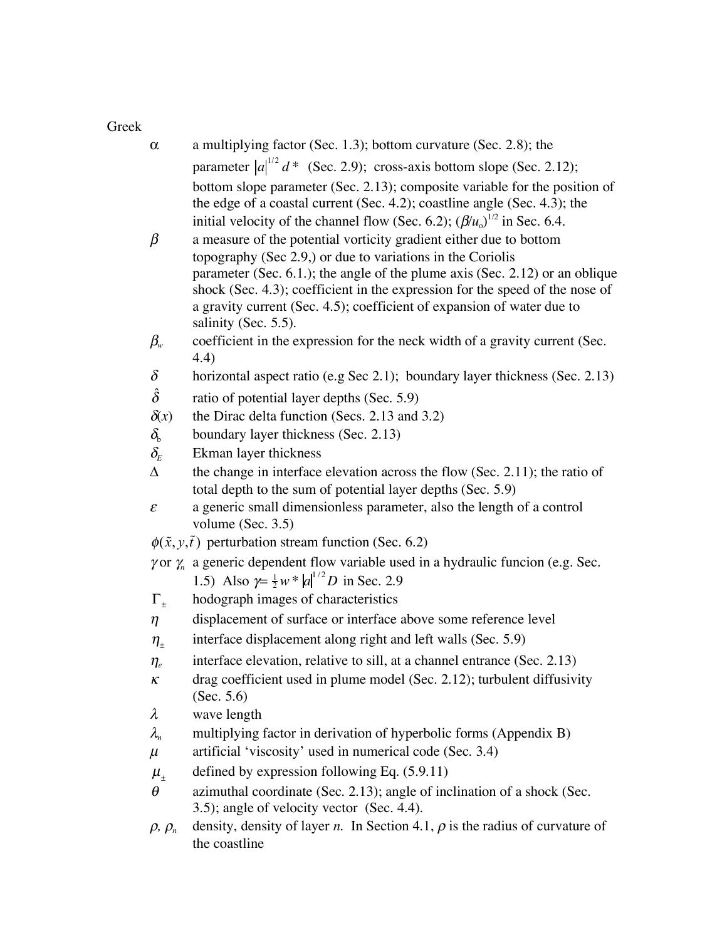Greek

| $\alpha$                          | a multiplying factor (Sec. 1.3); bottom curvature (Sec. 2.8); the                                                                                      |
|-----------------------------------|--------------------------------------------------------------------------------------------------------------------------------------------------------|
|                                   | parameter $ a ^{1/2}$ d* (Sec. 2.9); cross-axis bottom slope (Sec. 2.12);                                                                              |
|                                   | bottom slope parameter (Sec. 2.13); composite variable for the position of                                                                             |
|                                   | the edge of a coastal current (Sec. 4.2); coastline angle (Sec. 4.3); the                                                                              |
|                                   | initial velocity of the channel flow (Sec. 6.2); $(\beta/u_0)^{1/2}$ in Sec. 6.4.                                                                      |
| $\beta$                           | a measure of the potential vorticity gradient either due to bottom                                                                                     |
|                                   | topography (Sec 2.9,) or due to variations in the Coriolis                                                                                             |
|                                   | parameter (Sec. 6.1.); the angle of the plume axis (Sec. 2.12) or an oblique                                                                           |
|                                   | shock (Sec. 4.3); coefficient in the expression for the speed of the nose of<br>a gravity current (Sec. 4.5); coefficient of expansion of water due to |
|                                   | salinity (Sec. 5.5).                                                                                                                                   |
| $\beta_{\tiny{w}}$                | coefficient in the expression for the neck width of a gravity current (Sec.                                                                            |
|                                   | (4.4)                                                                                                                                                  |
| $\delta$                          | horizontal aspect ratio (e.g Sec 2.1); boundary layer thickness (Sec. 2.13)                                                                            |
| $\hat{\delta}$                    | ratio of potential layer depths (Sec. 5.9)                                                                                                             |
| $\delta(x)$                       | the Dirac delta function (Secs. 2.13 and 3.2)                                                                                                          |
| $\delta_{\!\scriptscriptstyle b}$ | boundary layer thickness (Sec. 2.13)                                                                                                                   |
| $\delta_{\!\scriptscriptstyle E}$ | Ekman layer thickness                                                                                                                                  |
| Δ                                 | the change in interface elevation across the flow (Sec. 2.11); the ratio of                                                                            |
|                                   | total depth to the sum of potential layer depths (Sec. 5.9)                                                                                            |
| $\boldsymbol{\varepsilon}$        | a generic small dimensionless parameter, also the length of a control<br>volume (Sec. $3.5$ )                                                          |
|                                   | $\phi(\tilde{x}, y, \tilde{t})$ perturbation stream function (Sec. 6.2)                                                                                |
|                                   | $\gamma$ or $\gamma_n$ a generic dependent flow variable used in a hydraulic funcion (e.g. Sec.                                                        |
|                                   | 1.5) Also $\gamma = \frac{1}{2}w *  a ^{1/2}D$ in Sec. 2.9                                                                                             |
| $\Gamma_{+}$                      | hodograph images of characteristics                                                                                                                    |
| $\eta$                            | displacement of surface or interface above some reference level                                                                                        |
| $\eta_{\scriptscriptstyle{\pm}}$  | interface displacement along right and left walls (Sec. 5.9)                                                                                           |
| $\eta_{\scriptscriptstyle e}$     | interface elevation, relative to sill, at a channel entrance (Sec. 2.13)                                                                               |
| κ                                 | drag coefficient used in plume model (Sec. 2.12); turbulent diffusivity                                                                                |
|                                   | (Sec. $5.6$ )                                                                                                                                          |
| $\lambda$                         | wave length                                                                                                                                            |
| $\lambda_{n}$                     | multiplying factor in derivation of hyperbolic forms (Appendix B)                                                                                      |
| $\mu$                             | artificial 'viscosity' used in numerical code (Sec. 3.4)                                                                                               |
| $\mu_{\pm}$                       | defined by expression following Eq. $(5.9.11)$                                                                                                         |
| $\theta$                          | azimuthal coordinate (Sec. 2.13); angle of inclination of a shock (Sec.                                                                                |
|                                   | 3.5); angle of velocity vector (Sec. 4.4).                                                                                                             |
| $\rho$ , $\rho_n$                 | density, density of layer <i>n</i> . In Section 4.1, $\rho$ is the radius of curvature of                                                              |
|                                   | the coastline                                                                                                                                          |